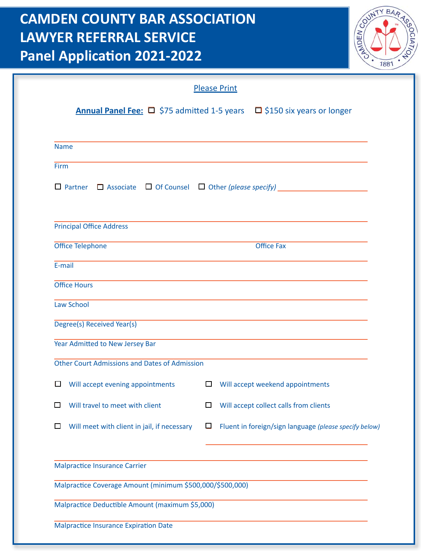## **CAMDEN COUNTY BAR ASSOCIATION LAWYER REFERRAL SERVICE Panel Application 2021-2022**



|                                                                                 | <b>Please Print</b>                                                                      |
|---------------------------------------------------------------------------------|------------------------------------------------------------------------------------------|
|                                                                                 | <b>Annual Panel Fee:</b> $\Box$ \$75 admitted 1-5 years $\Box$ \$150 six years or longer |
| <b>Name</b>                                                                     |                                                                                          |
| Firm                                                                            |                                                                                          |
|                                                                                 |                                                                                          |
| <b>Principal Office Address</b>                                                 |                                                                                          |
| Office Telephone                                                                | <b>Office Fax</b>                                                                        |
| E-mail                                                                          |                                                                                          |
| <b>Office Hours</b>                                                             |                                                                                          |
| <b>Law School</b>                                                               | ,我们也不能在这里的时候,我们也不能在这里的时候,我们也不能会在这里的时候,我们也不能会在这里的时候,我们也不能会在这里的时候,我们也不能会在这里的时候,我们也         |
|                                                                                 |                                                                                          |
| Degree(s) Received Year(s)                                                      |                                                                                          |
| Year Admitted to New Jersey Bar                                                 |                                                                                          |
| Other Court Admissions and Dates of Admission                                   |                                                                                          |
| $\Box$ Will accept evening appointments $\Box$ Will accept weekend appointments |                                                                                          |
| Will travel to meet with client<br>□                                            | Will accept collect calls from clients<br>$\Box$                                         |
| Will meet with client in jail, if necessary<br>□                                | Fluent in foreign/sign language (please specify below)<br>$\Box$                         |
| <b>Malpractice Insurance Carrier</b>                                            |                                                                                          |
| Malpractice Coverage Amount (minimum \$500,000/\$500,000)                       |                                                                                          |
|                                                                                 |                                                                                          |
| Malpractice Deductible Amount (maximum \$5,000)                                 |                                                                                          |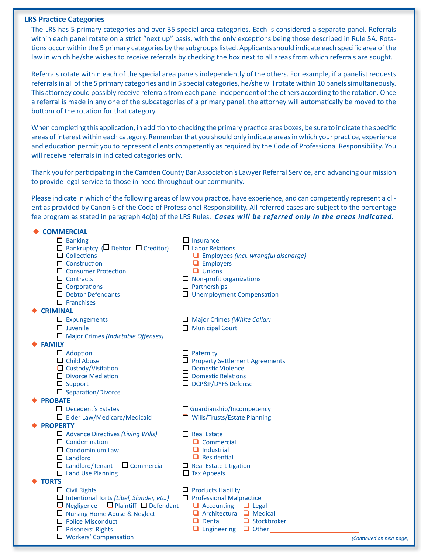## **LRS Practice Categories**

The LRS has 5 primary categories and over 35 special area categories. Each is considered a separate panel. Referrals within each panel rotate on a strict "next up" basis, with the only exceptions being those described in Rule 5A. Rotations occur within the 5 primary categories by the subgroups listed. Applicants should indicate each specific area of the law in which he/she wishes to receive referrals by checking the box next to all areas from which referrals are sought.

Referrals rotate within each of the special area panels independently of the others. For example, if a panelist requests referrals in all of the 5 primary categories and in 5 special categories, he/she will rotate within 10 panels simultaneously. This attorney could possibly receive referrals from each panel independent of the others according to the rotation. Once a referral is made in any one of the subcategories of a primary panel, the attorney will automatically be moved to the bottom of the rotation for that category.

When completing this application, in addition to checking the primary practice area boxes, be sure to indicate the specific areas of interest within each category. Remember that you should only indicate areas in which your practice, experience and education permit you to represent clients competently as required by the Code of Professional Responsibility. You will receive referrals in indicated categories only.

Thank you for participating in the Camden County Bar Association's Lawyer Referral Service, and advancing our mission to provide legal service to those in need throughout our community.

Please indicate in which of the following areas of law you practice, have experience, and can competently represent a client as provided by Canon 6 of the Code of Professional Responsibility. All referred cases are subject to the percentage percentage fee program as stated in paragraph 4c(b) of the LRS Rules. Cases will be referred only in the areas indicated.

| <b>COMMERCIAL</b>                                                                                                                                                                                                                    |                                                                                                                                                                                                                              |
|--------------------------------------------------------------------------------------------------------------------------------------------------------------------------------------------------------------------------------------|------------------------------------------------------------------------------------------------------------------------------------------------------------------------------------------------------------------------------|
| $\Box$ Banking<br>$\Box$ Bankruptcy ( $\Box$ Debtor $\Box$ Creditor)<br>$\Box$ Collections<br>$\Box$ Construction<br>Consumer Protection<br>$\Box$ Contracts<br>$\Box$ Corporations<br>$\Box$ Debtor Defendants<br>$\Box$ Franchises | $\Box$ Insurance<br>$\Box$ Labor Relations<br>$\Box$ Employees (incl. wrongful discharge)<br>$\Box$ Employers<br>$\Box$ Unions<br>$\Box$ Non-profit organizations<br>$\Box$ Partnerships<br>$\Box$ Unemployment Compensation |
| <b>CRIMINAL</b>                                                                                                                                                                                                                      |                                                                                                                                                                                                                              |
| $\Box$ Expungements                                                                                                                                                                                                                  | $\Box$ Major Crimes (White Collar)                                                                                                                                                                                           |
| $\Box$ Juvenile                                                                                                                                                                                                                      | Municipal Court                                                                                                                                                                                                              |
| $\Box$ Major Crimes (Indictable Offenses)                                                                                                                                                                                            |                                                                                                                                                                                                                              |
| <b>FAMILY</b>                                                                                                                                                                                                                        |                                                                                                                                                                                                                              |
| $\Box$ Adoption                                                                                                                                                                                                                      | $\Box$ Paternity                                                                                                                                                                                                             |
| $\Box$ Child Abuse                                                                                                                                                                                                                   | $\Box$ Property Settlement Agreements<br>Domestic Violence                                                                                                                                                                   |
| $\Box$ Custody/Visitation<br>Divorce Mediation                                                                                                                                                                                       | $\Box$ Domestic Relations                                                                                                                                                                                                    |
| $\Box$ Support                                                                                                                                                                                                                       | □ DCP&P/DYFS Defense                                                                                                                                                                                                         |
| $\Box$ Separation/Divorce                                                                                                                                                                                                            |                                                                                                                                                                                                                              |
| <b>PROBATE</b>                                                                                                                                                                                                                       |                                                                                                                                                                                                                              |
| $\Box$ Decedent's Estates                                                                                                                                                                                                            | $\Box$ Guardianship/Incompetency                                                                                                                                                                                             |
| $\Box$ Elder Law/Medicare/Medicaid                                                                                                                                                                                                   | □ Wills/Trusts/Estate Planning                                                                                                                                                                                               |
| <b>PROPERTY</b>                                                                                                                                                                                                                      |                                                                                                                                                                                                                              |
| $\Box$ Advance Directives (Living Wills)                                                                                                                                                                                             | $\Box$ Real Estate                                                                                                                                                                                                           |
| $\Box$ Condemnation                                                                                                                                                                                                                  | $\Box$ Commercial                                                                                                                                                                                                            |
| $\Box$ Condominium Law                                                                                                                                                                                                               | $\Box$ Industrial                                                                                                                                                                                                            |
| $\Box$ Landlord                                                                                                                                                                                                                      | $\Box$ Residential                                                                                                                                                                                                           |
| $\Box$ Landlord/Tenant<br>$\Box$ Commercial                                                                                                                                                                                          | $\Box$ Real Estate Litigation                                                                                                                                                                                                |
| $\Box$ Land Use Planning<br><b>TORTS</b>                                                                                                                                                                                             | $\Box$ Tax Appeals                                                                                                                                                                                                           |
| $\Box$ Civil Rights                                                                                                                                                                                                                  | $\Box$ Products Liability                                                                                                                                                                                                    |
| $\Box$ Intentional Torts (Libel, Slander, etc.)                                                                                                                                                                                      | $\Box$ Professional Malpractice                                                                                                                                                                                              |
| $\Box$ Plaintiff $\Box$ Defendant<br>$\Box$ Negligence                                                                                                                                                                               | $\Box$ Accounting $\Box$ Legal                                                                                                                                                                                               |
| Nursing Home Abuse & Neglect                                                                                                                                                                                                         | $\Box$ Architectural $\Box$ Medical                                                                                                                                                                                          |
| $\Box$ Police Misconduct                                                                                                                                                                                                             | $\Box$ Dental<br>$\Box$ Stockbroker                                                                                                                                                                                          |
| $\Box$ Prisoners' Rights                                                                                                                                                                                                             | Engineering $\Box$ Other                                                                                                                                                                                                     |
| $\Box$ Workers' Compensation                                                                                                                                                                                                         |                                                                                                                                                                                                                              |

(Continued on next page)